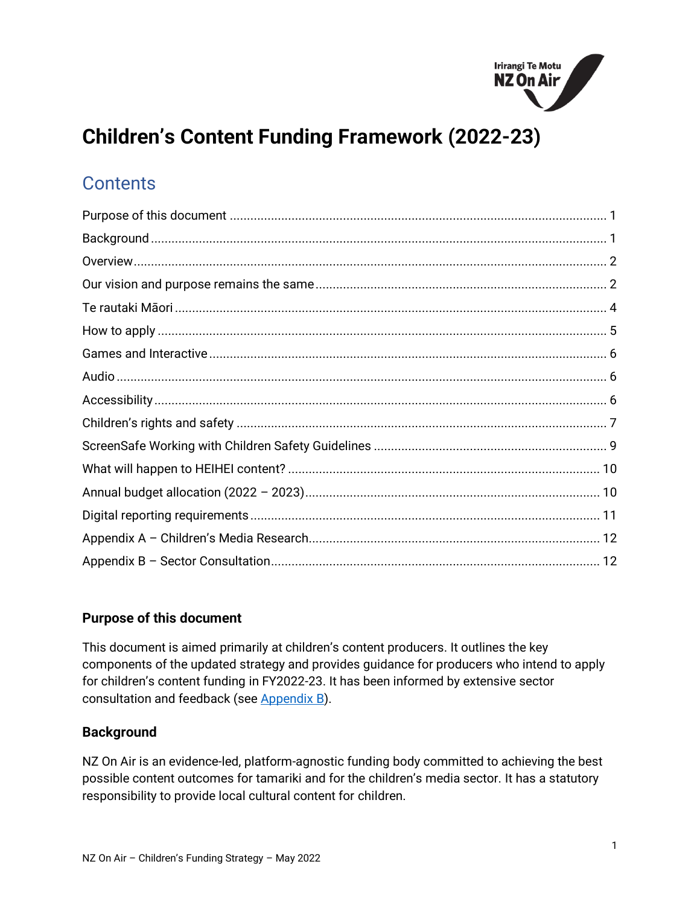

# **Children's Content Funding Framework (2022-23)**

# **Contents**

# <span id="page-0-0"></span>**Purpose of this document**

This document is aimed primarily at children's content producers. It outlines the key components of the updated strategy and provides guidance for producers who intend to apply for children's content funding in FY2022-23. It has been informed by extensive sector consultation and feedback (see [Appendix B\)](#page-11-0).

#### <span id="page-0-1"></span>**Background**

NZ On Air is an evidence-led, platform-agnostic funding body committed to achieving the best possible content outcomes for tamariki and for the children's media sector. It has a statutory responsibility to provide local cultural content for children.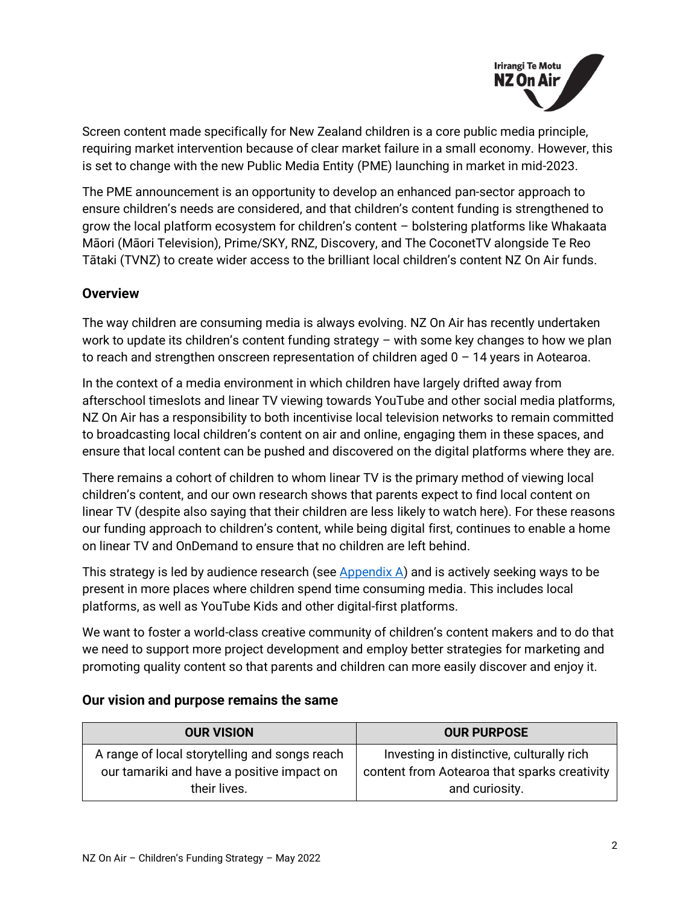

Screen content made specifically for New Zealand children is a core public media principle, requiring market intervention because of clear market failure in a small economy. However, this is set to change with the new Public Media Entity (PME) launching in market in mid-2023.

The PME announcement is an opportunity to develop an enhanced pan-sector approach to ensure children's needs are considered, and that children's content funding is strengthened to grow the local platform ecosystem for children's content – bolstering platforms like Whakaata Māori (Māori Television), Prime/SKY, RNZ, Discovery, and The CoconetTV alongside Te Reo Tātaki (TVNZ) to create wider access to the brilliant local children's content NZ On Air funds.

#### <span id="page-1-0"></span>**Overview**

The way children are consuming media is always evolving. NZ On Air has recently undertaken work to update its children's content funding strategy – with some key changes to how we plan to reach and strengthen onscreen representation of children aged  $0 - 14$  years in Aotearoa.

In the context of a media environment in which children have largely drifted away from afterschool timeslots and linear TV viewing towards YouTube and other social media platforms, NZ On Air has a responsibility to both incentivise local television networks to remain committed to broadcasting local children's content on air and online, engaging them in these spaces, and ensure that local content can be pushed and discovered on the digital platforms where they are.

There remains a cohort of children to whom linear TV is the primary method of viewing local children's content, and our own research shows that parents expect to find local content on linear TV (despite also saying that their children are less likely to watch here). For these reasons our funding approach to children's content, while being digital first, continues to enable a home on linear TV and OnDemand to ensure that no children are left behind.

This strategy is led by audience research (see  $\Delta p$  and is actively seeking ways to be present in more places where children spend time consuming media. This includes local platforms, as well as YouTube Kids and other digital-first platforms.

We want to foster a world-class creative community of children's content makers and to do that we need to support more project development and employ better strategies for marketing and promoting quality content so that parents and children can more easily discover and enjoy it.

| <b>OUR VISION</b>                                                                           | <b>OUR PURPOSE</b>                                                                        |
|---------------------------------------------------------------------------------------------|-------------------------------------------------------------------------------------------|
| A range of local storytelling and songs reach<br>our tamariki and have a positive impact on | Investing in distinctive, culturally rich<br>content from Aotearoa that sparks creativity |
| their lives.                                                                                | and curiosity.                                                                            |

#### <span id="page-1-1"></span>**Our vision and purpose remains the same**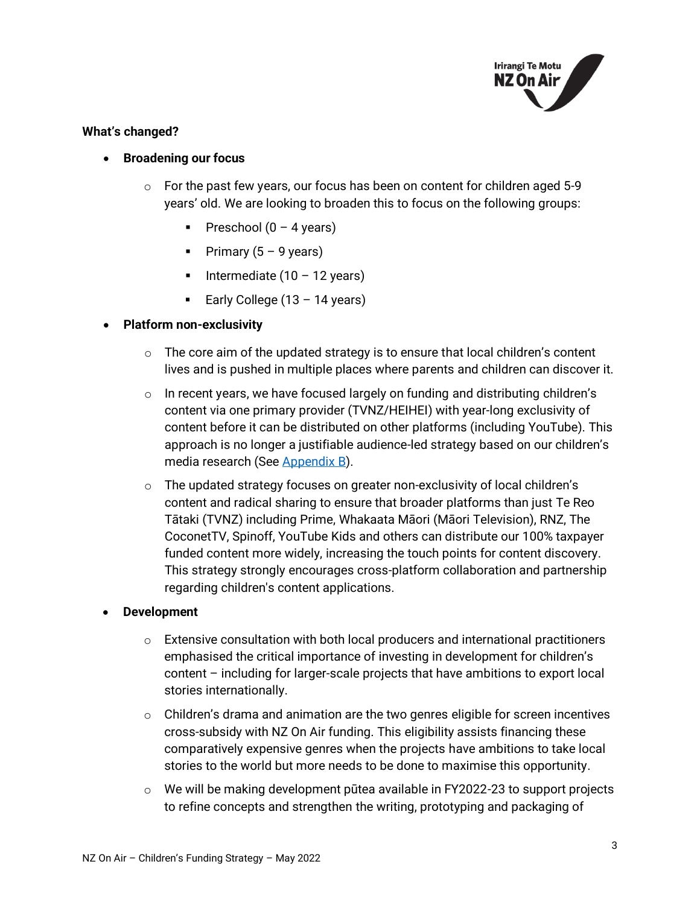

#### **What's changed?**

#### • **Broadening our focus**

- $\circ$  For the past few years, our focus has been on content for children aged 5-9 years' old. We are looking to broaden this to focus on the following groups:
	- **•** Preschool  $(0 4 \text{ years})$
	- **•** Primary  $(5 9$  years)
	- Intermediate  $(10 12 \text{ years})$
	- Early College (13 14 years)

#### • **Platform non-exclusivity**

- $\circ$  The core aim of the updated strategy is to ensure that local children's content lives and is pushed in multiple places where parents and children can discover it.
- $\circ$  In recent years, we have focused largely on funding and distributing children's content via one primary provider (TVNZ/HEIHEI) with year-long exclusivity of content before it can be distributed on other platforms (including YouTube). This approach is no longer a justifiable audience-led strategy based on our children's media research (See [Appendix B\)](#page-11-0).
- $\circ$  The updated strategy focuses on greater non-exclusivity of local children's content and radical sharing to ensure that broader platforms than just Te Reo Tātaki (TVNZ) including Prime, Whakaata Māori (Māori Television), RNZ, The CoconetTV, Spinoff, YouTube Kids and others can distribute our 100% taxpayer funded content more widely, increasing the touch points for content discovery. This strategy strongly encourages cross-platform collaboration and partnership regarding children's content applications.

#### • **Development**

- $\circ$  Extensive consultation with both local producers and international practitioners emphasised the critical importance of investing in development for children's content – including for larger-scale projects that have ambitions to export local stories internationally.
- $\circ$  Children's drama and animation are the two genres eligible for screen incentives cross-subsidy with NZ On Air funding. This eligibility assists financing these comparatively expensive genres when the projects have ambitions to take local stories to the world but more needs to be done to maximise this opportunity.
- $\circ$  We will be making development pūtea available in FY2022-23 to support projects to refine concepts and strengthen the writing, prototyping and packaging of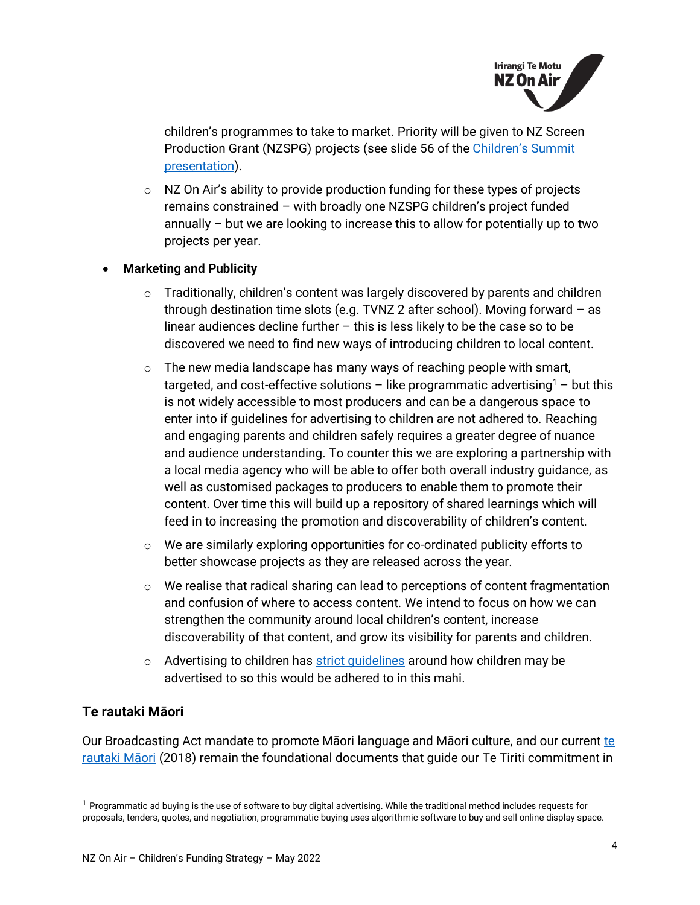

children's programmes to take to market. Priority will be given to NZ Screen Production Grant (NZSPG) projects (see slide 56 of the Children's Summit [presentation\)](https://govt.us7.list-manage.com/track/click?u=defea490d12b73c4ed8504b5b&id=9b803cba23&e=728b5438da).

 $\circ$  NZ On Air's ability to provide production funding for these types of projects remains constrained – with broadly one NZSPG children's project funded annually – but we are looking to increase this to allow for potentially up to two projects per year.

#### • **Marketing and Publicity**

- $\circ$  Traditionally, children's content was largely discovered by parents and children through destination time slots (e.g. TVNZ 2 after school). Moving forward – as linear audiences decline further – this is less likely to be the case so to be discovered we need to find new ways of introducing children to local content.
- $\circ$  The new media landscape has many ways of reaching people with smart, targeted, and cost-effective solutions – like programmatic advertising<sup>1</sup> – but this is not widely accessible to most producers and can be a dangerous space to enter into if guidelines for advertising to children are not adhered to. Reaching and engaging parents and children safely requires a greater degree of nuance and audience understanding. To counter this we are exploring a partnership with a local media agency who will be able to offer both overall industry guidance, as well as customised packages to producers to enable them to promote their content. Over time this will build up a repository of shared learnings which will feed in to increasing the promotion and discoverability of children's content.
- $\circ$  We are similarly exploring opportunities for co-ordinated publicity efforts to better showcase projects as they are released across the year.
- $\circ$  We realise that radical sharing can lead to perceptions of content fragmentation and confusion of where to access content. We intend to focus on how we can strengthen the community around local children's content, increase discoverability of that content, and grow its visibility for parents and children.
- $\circ$  Advertising to children has strict quidelines around how children may be advertised to so this would be adhered to in this mahi.

# <span id="page-3-0"></span>**Te rautaki Māori**

Our Broadcasting Act mandate to promote Māori language and Māori culture, and our current te [rautaki Māori](https://d3r9t6niqlb7tz.cloudfront.net/media/documents/Rautaki_Maori_Bilingual.pdf) (2018) remain the foundational documents that guide our Te Tiriti commitment in

 $1$  Programmatic ad buying is the use of software to buy digital advertising. While the traditional method includes requests for proposals, tenders, quotes, and negotiation, programmatic buying uses algorithmic software to buy and sell online display space.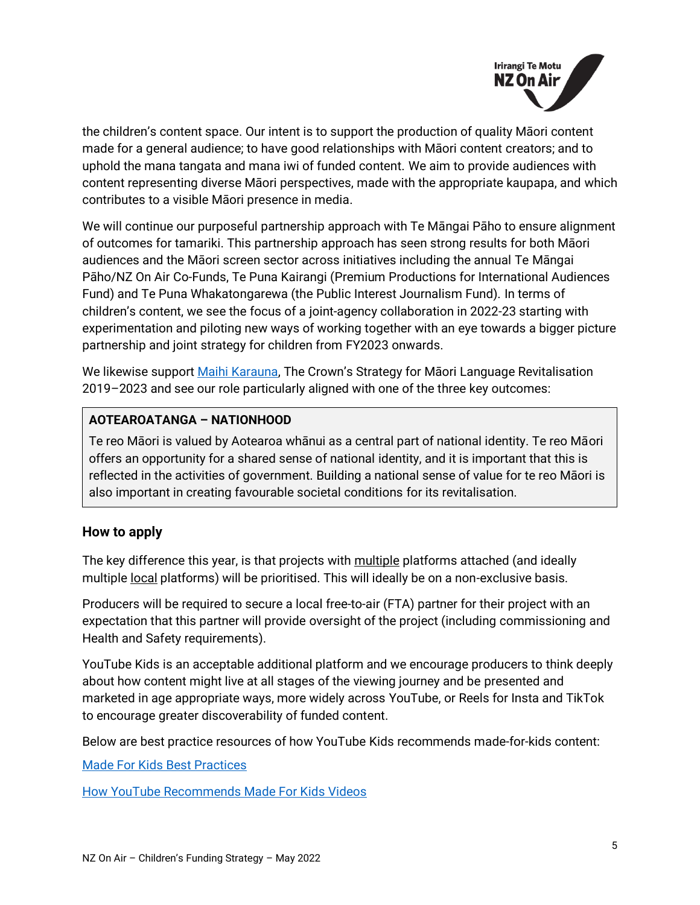

the children's content space. Our intent is to support the production of quality Māori content made for a general audience; to have good relationships with Māori content creators; and to uphold the mana tangata and mana iwi of funded content. We aim to provide audiences with content representing diverse Māori perspectives, made with the appropriate kaupapa, and which contributes to a visible Māori presence in media.

We will continue our purposeful partnership approach with Te Māngai Pāho to ensure alignment of outcomes for tamariki. This partnership approach has seen strong results for both Māori audiences and the Māori screen sector across initiatives including the annual Te Māngai Pāho/NZ On Air Co-Funds, Te Puna Kairangi (Premium Productions for International Audiences Fund) and Te Puna Whakatongarewa (the Public Interest Journalism Fund). In terms of children's content, we see the focus of a joint-agency collaboration in 2022-23 starting with experimentation and piloting new ways of working together with an eye towards a bigger picture partnership and joint strategy for children from FY2023 onwards.

We likewise support [Maihi Karauna,](https://www.tpk.govt.nz/docs/tpk-maihi-karauna-en-2018-v2.pdf) The Crown's Strategy for Maori Language Revitalisation 2019–2023 and see our role particularly aligned with one of the three key outcomes:

# **AOTEAROATANGA – NATIONHOOD**

Te reo Māori is valued by Aotearoa whānui as a central part of national identity. Te reo Māori offers an opportunity for a shared sense of national identity, and it is important that this is reflected in the activities of government. Building a national sense of value for te reo Māori is also important in creating favourable societal conditions for its revitalisation.

# <span id="page-4-0"></span>**How to apply**

The key difference this year, is that projects with multiple platforms attached (and ideally multiple local platforms) will be prioritised. This will ideally be on a non-exclusive basis.

Producers will be required to secure a local free-to-air (FTA) partner for their project with an expectation that this partner will provide oversight of the project (including commissioning and Health and Safety requirements).

YouTube Kids is an acceptable additional platform and we encourage producers to think deeply about how content might live at all stages of the viewing journey and be presented and marketed in age appropriate ways, more widely across YouTube, or Reels for Insta and TikTok to encourage greater discoverability of funded content.

Below are best practice resources of how YouTube Kids recommends made-for-kids content:

[Made For Kids Best Practices](https://www.nzonair.govt.nz/documents/822/YouTube_-_made-for-kids-best-practices_en.pdf)

[How YouTube Recommends Made For Kids Videos](https://www.nzonair.govt.nz/documents/823/How_YouTube_Recommends_MFK_Videos.pdf)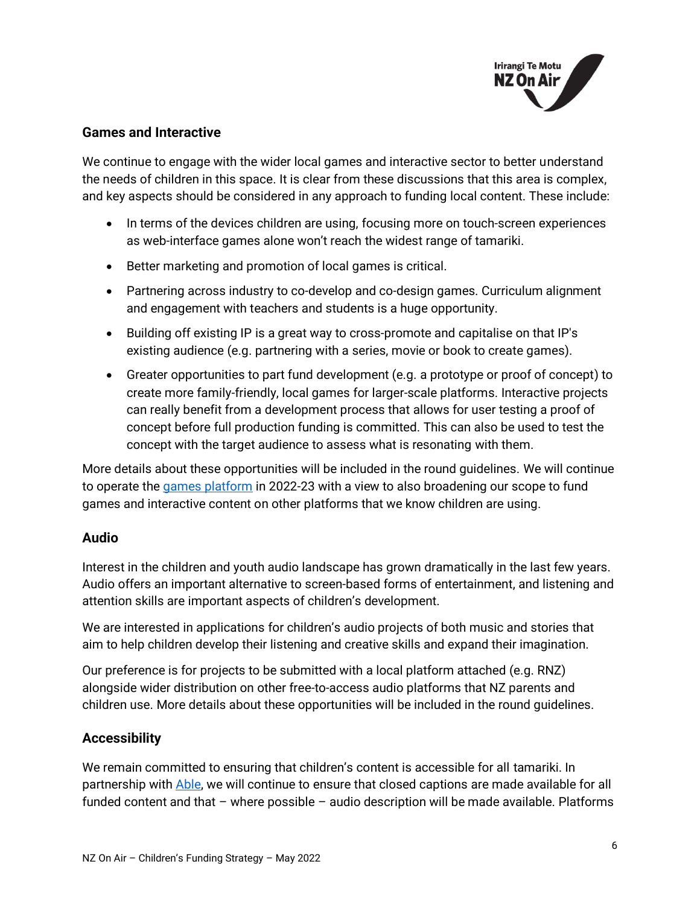

#### <span id="page-5-0"></span>**Games and Interactive**

We continue to engage with the wider local games and interactive sector to better understand the needs of children in this space. It is clear from these discussions that this area is complex, and key aspects should be considered in any approach to funding local content. These include:

- In terms of the devices children are using, focusing more on touch-screen experiences as web-interface games alone won't reach the widest range of tamariki.
- Better marketing and promotion of local games is critical.
- Partnering across industry to co-develop and co-design games. Curriculum alignment and engagement with teachers and students is a huge opportunity.
- Building off existing IP is a great way to cross-promote and capitalise on that IP's existing audience (e.g. partnering with a series, movie or book to create games).
- Greater opportunities to part fund development (e.g. a prototype or proof of concept) to create more family-friendly, local games for larger-scale platforms. Interactive projects can really benefit from a development process that allows for user testing a proof of concept before full production funding is committed. This can also be used to test the concept with the target audience to assess what is resonating with them.

More details about these opportunities will be included in the round guidelines. We will continue to operate the [games platform](https://www.heihei.nz/games) in 2022-23 with a view to also broadening our scope to fund games and interactive content on other platforms that we know children are using.

# <span id="page-5-1"></span>**Audio**

Interest in the children and youth audio landscape has grown dramatically in the last few years. Audio offers an important alternative to screen-based forms of entertainment, and listening and attention skills are important aspects of children's development.

We are interested in applications for children's audio projects of both music and stories that aim to help children develop their listening and creative skills and expand their imagination.

Our preference is for projects to be submitted with a local platform attached (e.g. RNZ) alongside wider distribution on other free-to-access audio platforms that NZ parents and children use. More details about these opportunities will be included in the round guidelines.

# <span id="page-5-2"></span>**Accessibility**

We remain committed to ensuring that children's content is accessible for all tamariki. In partnership with [Able,](https://able.co.nz/) we will continue to ensure that closed captions are made available for all funded content and that – where possible – audio description will be made available. Platforms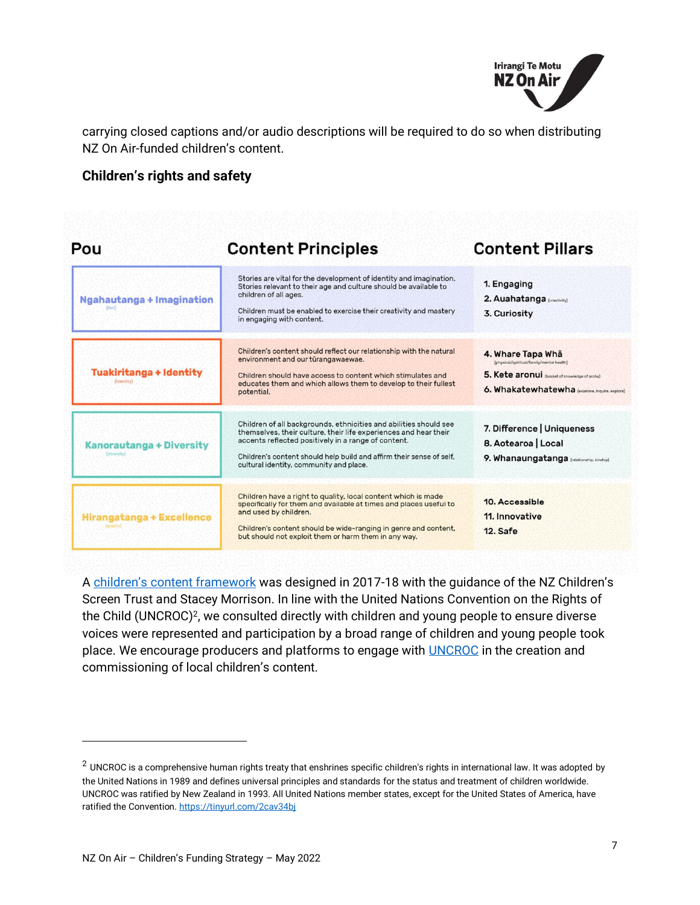

carrying closed captions and/or audio descriptions will be required to do so when distributing NZ On Air-funded children's content.

#### <span id="page-6-0"></span>**Children's rights and safety**

| Pou                                            | <b>Content Principles</b>                                                                                                                                                                                                                                                                                       | <b>Content Pillars</b>                                                                                                                                          |
|------------------------------------------------|-----------------------------------------------------------------------------------------------------------------------------------------------------------------------------------------------------------------------------------------------------------------------------------------------------------------|-----------------------------------------------------------------------------------------------------------------------------------------------------------------|
| Ngahautanga + Imagination                      | Stories are vital for the development of identity and imagination.<br>Stories relevant to their age and culture should be available to<br>children of all ages.<br>Children must be enabled to exercise their creativity and mastery<br>in engaging with content.                                               | 1. Engaging<br>2. Auahatanga [creativity]<br>3. Curiosity                                                                                                       |
| <b>Tuakiritanga + Identity</b><br>(identity)   | Children's content should reflect our relationship with the natural<br>environment and our tūrangawaewae.<br>Children should have access to content which stimulates and<br>educates them and which allows them to develop to their fullest<br>potential.                                                       | 4. Whare Tapa Wha<br>(physical/spiritual/family/mental health)<br>5. Kete aronui (basket of knowledge of aroha)<br>6. Whakatewhatewha (examine, inquire, explor |
| <b>Kanorautanga + Diversity</b><br>(diversity) | Children of all backgrounds, ethnicities and abilities should see<br>themselves, their culture, their life experiences and hear their<br>accents reflected positively in a range of content.<br>Children's content should help build and affirm their sense of self,<br>cultural identity, community and place. | 7. Difference   Uniqueness<br>8. Aotearoa   Local<br>9. Whanaungatanga (relationship, kinship)                                                                  |
| Hirangatanga + Excellence                      | Children have a right to quality, local content which is made<br>specifically for them and available at times and places useful to<br>and used by children.<br>Children's content should be wide-ranging in genre and content,<br>but should not exploit them or harm them in any way.                          | 10. Accessible<br>11. Innovative<br>12. Safe                                                                                                                    |

A children's [content framework](https://d3r9t6niqlb7tz.cloudfront.net/media/documents/Childrens_Media_Platform_content_framework_MHOICEU.pdf) was designed in 2017-18 with the guidance of the NZ Children's Screen Trust and Stacey Morrison. In line with the United Nations Convention on the Rights of the Child (UNCROC)<sup>2</sup> , we consulted directly with children and young people to ensure diverse voices were represented and participation by a broad range of children and young people took place. We encourage producers and platforms to engage with **UNCROC** in the creation and commissioning of local children's content.

 $2$  UNCROC is a comprehensive human rights treaty that enshrines specific children's rights in international law. It was adopted by the United Nations in 1989 and defines universal principles and standards for the status and treatment of children worldwide. UNCROC was ratified by New Zealand in 1993. All United Nations member states, except for the United States of America, have ratified the Convention[. https://tinyurl.com/2cav34bj](https://tinyurl.com/2cav34bj)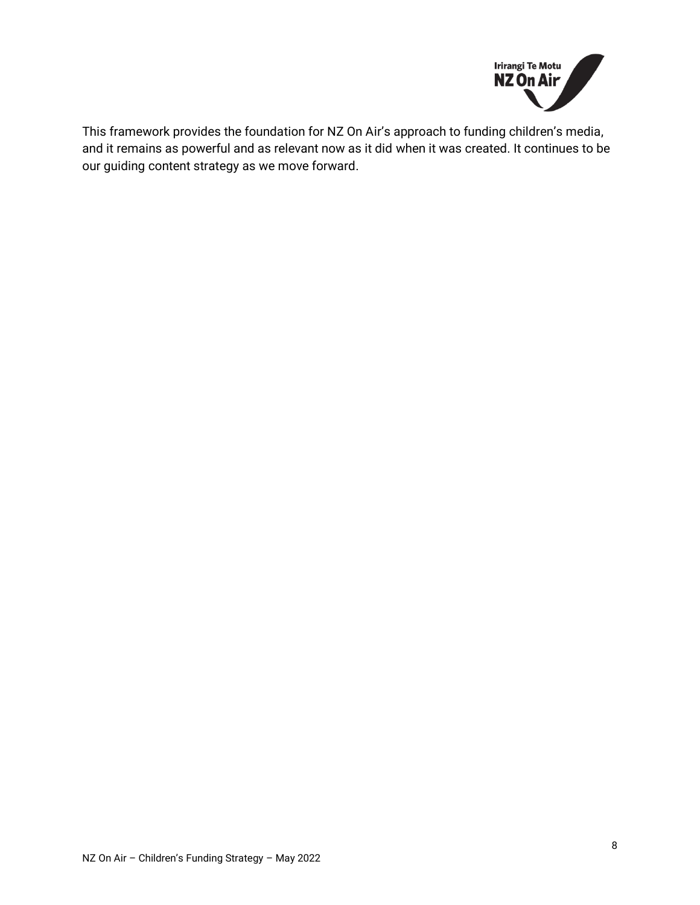

This framework provides the foundation for NZ On Air's approach to funding children's media, and it remains as powerful and as relevant now as it did when it was created. It continues to be our guiding content strategy as we move forward.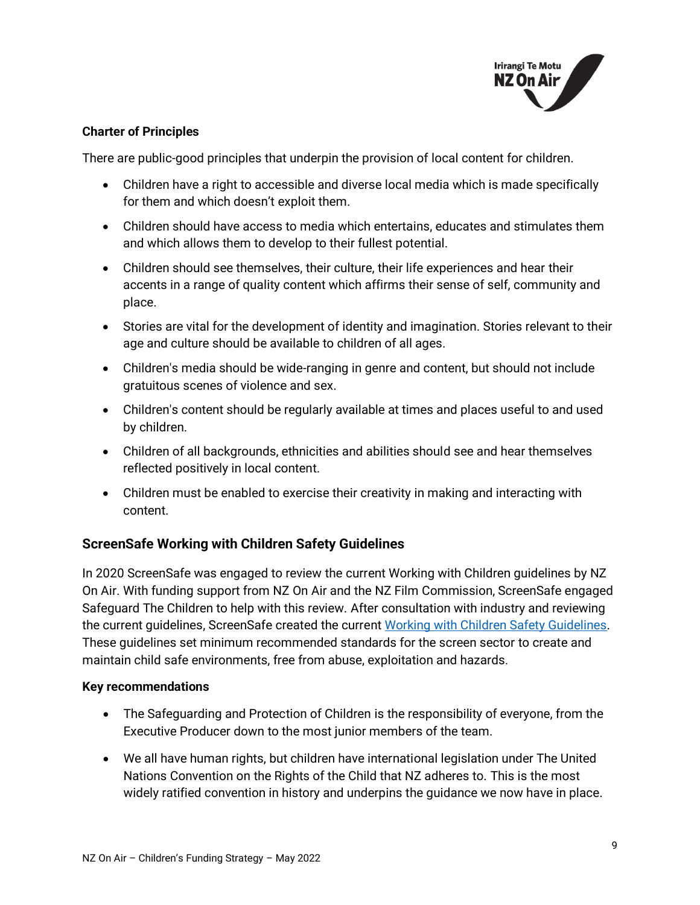

#### **Charter of Principles**

There are public-good principles that underpin the provision of local content for children.

- Children have a right to accessible and diverse local media which is made specifically for them and which doesn't exploit them.
- Children should have access to media which entertains, educates and stimulates them and which allows them to develop to their fullest potential.
- Children should see themselves, their culture, their life experiences and hear their accents in a range of quality content which affirms their sense of self, community and place.
- Stories are vital for the development of identity and imagination. Stories relevant to their age and culture should be available to children of all ages.
- Children's media should be wide-ranging in genre and content, but should not include gratuitous scenes of violence and sex.
- Children's content should be regularly available at times and places useful to and used by children.
- Children of all backgrounds, ethnicities and abilities should see and hear themselves reflected positively in local content.
- Children must be enabled to exercise their creativity in making and interacting with content.

# <span id="page-8-0"></span>**ScreenSafe Working with Children Safety Guidelines**

In 2020 ScreenSafe was engaged to review the current Working with Children guidelines by NZ On Air. With funding support from NZ On Air and the NZ Film Commission, ScreenSafe engaged Safeguard The Children to help with this review. After consultation with industry and reviewing the current guidelines, ScreenSafe created the current [Working with Children Safety Guidelines.](https://screensafe.co.nz/screensafe-working-with-children-update/#:~:text=ScreenSafe%20recommends%20that%20Productions%20that,productions%20interaction%20with%20the%20children.) These guidelines set minimum recommended standards for the screen sector to create and maintain child safe environments, free from abuse, exploitation and hazards.

#### **Key recommendations**

- The Safeguarding and Protection of Children is the responsibility of everyone, from the Executive Producer down to the most junior members of the team.
- We all have human rights, but children have international legislation under The United Nations Convention on the Rights of the Child that NZ adheres to. This is the most widely ratified convention in history and underpins the guidance we now have in place.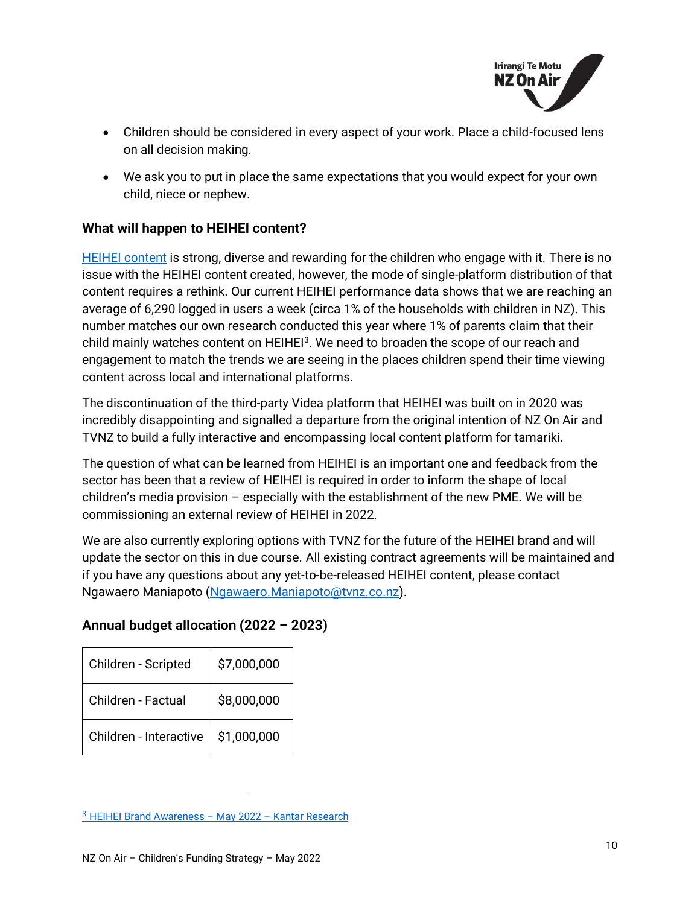

- Children should be considered in every aspect of your work. Place a child-focused lens on all decision making.
- We ask you to put in place the same expectations that you would expect for your own child, niece or nephew.

#### <span id="page-9-0"></span>**What will happen to HEIHEI content?**

[HEIHEI content](https://www.tvnz.co.nz/categories/heihei) is strong, diverse and rewarding for the children who engage with it. There is no issue with the HEIHEI content created, however, the mode of single-platform distribution of that content requires a rethink. Our current HEIHEI performance data shows that we are reaching an average of 6,290 logged in users a week (circa 1% of the households with children in NZ). This number matches our own research conducted this year where 1% of parents claim that their child mainly watches content on HEIHEI<sup>3</sup>. We need to broaden the scope of our reach and engagement to match the trends we are seeing in the places children spend their time viewing content across local and international platforms.

The discontinuation of the third-party Videa platform that HEIHEI was built on in 2020 was incredibly disappointing and signalled a departure from the original intention of NZ On Air and TVNZ to build a fully interactive and encompassing local content platform for tamariki.

The question of what can be learned from HEIHEI is an important one and feedback from the sector has been that a review of HEIHEI is required in order to inform the shape of local children's media provision – especially with the establishment of the new PME. We will be commissioning an external review of HEIHEI in 2022.

We are also currently exploring options with TVNZ for the future of the HEIHEI brand and will update the sector on this in due course. All existing contract agreements will be maintained and if you have any questions about any yet-to-be-released HEIHEI content, please contact Ngawaero Maniapoto [\(Ngawaero.Maniapoto@tvnz.co.nz\)](mailto:Ngawaero.Maniapoto@tvnz.co.nz).

# <span id="page-9-1"></span>**Annual budget allocation (2022 – 2023)**

| Children - Scripted    | \$7,000,000 |
|------------------------|-------------|
| Children - Factual     | \$8,000,000 |
| Children - Interactive | \$1,000,000 |

<sup>3</sup> [HEIHEI Brand Awareness](https://d3r9t6niqlb7tz.cloudfront.net/media/documents/HeiHei_Brand_Awareness_Report_Final_V2.pdf) – May 2022 – Kantar Research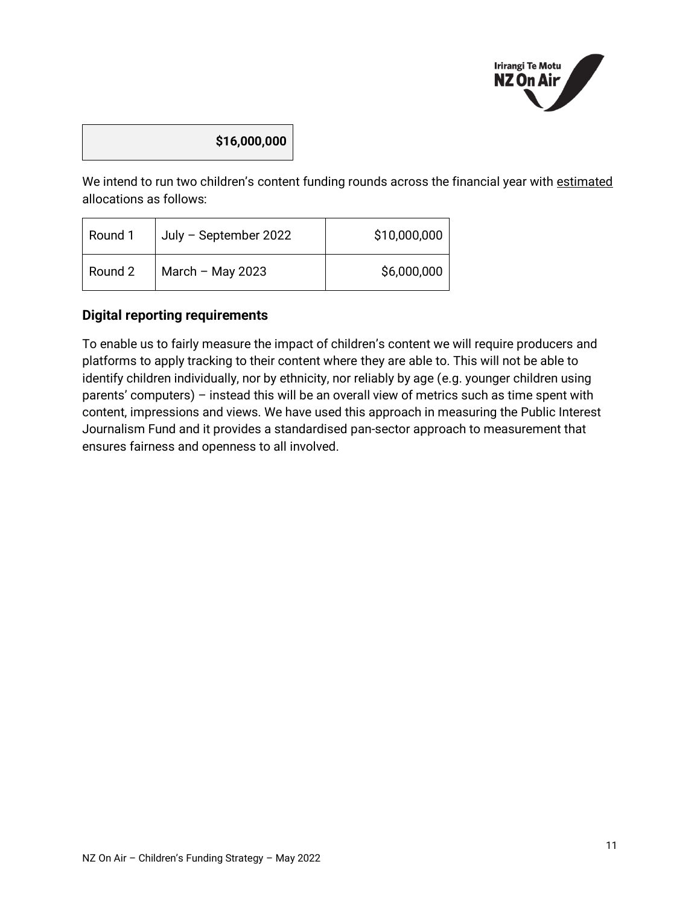

# **\$16,000,000**

We intend to run two children's content funding rounds across the financial year with estimated allocations as follows:

| Round 1 | July - September 2022 | \$10,000,000 |
|---------|-----------------------|--------------|
| Round 2 | March $-$ May 2023    | \$6,000,000  |

# <span id="page-10-0"></span>**Digital reporting requirements**

To enable us to fairly measure the impact of children's content we will require producers and platforms to apply tracking to their content where they are able to. This will not be able to identify children individually, nor by ethnicity, nor reliably by age (e.g. younger children using parents' computers) – instead this will be an overall view of metrics such as time spent with content, impressions and views. We have used this approach in measuring the Public Interest Journalism Fund and it provides a standardised pan-sector approach to measurement that ensures fairness and openness to all involved.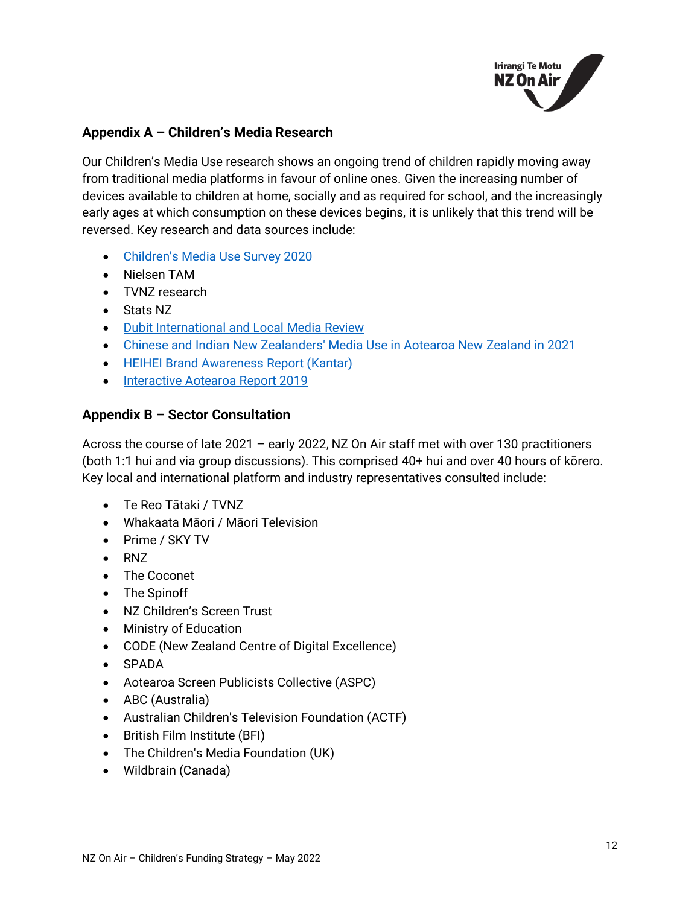

# <span id="page-11-0"></span>**Appendix A – Children's Media Research**

Our Children's Media Use research shows an ongoing trend of children rapidly moving away from traditional media platforms in favour of online ones. Given the increasing number of devices available to children at home, socially and as required for school, and the increasingly early ages at which consumption on these devices begins, it is unlikely that this trend will be reversed. Key research and data sources include:

- [Children's Media Use Survey 2020](https://www.nzonair.govt.nz/research/childrens-media-use-survey-2020/#:~:text=Children)
- Nielsen TAM
- TVNZ research
- Stats NZ
- [Dubit International and Local Media Review](https://www.nzonair.govt.nz/documents/825/Dubit_International_and_Local_Media_Review_Report.pdf)
- [Chinese and Indian New Zealanders' Media Use in Aotearoa New Zealand in 2021](https://www.nzonair.govt.nz/research/chinese-and-indian-new-zealanders-media-use-aotearoa-new-zealand-2021/)
- [HEIHEI Brand Awareness Report \(Kantar\)](https://www.nzonair.govt.nz/documents/812/HeiHei_Brand_Awareness_Report_Final_V2.pdf)
- [Interactive Aotearoa Report 2019](https://nzgda.com/wp-content/uploads/2019/08/Interactive-Aotearoa-Report-2019_email.pdf)

# <span id="page-11-1"></span>**Appendix B – Sector Consultation**

Across the course of late 2021 – early 2022, NZ On Air staff met with over 130 practitioners (both 1:1 hui and via group discussions). This comprised 40+ hui and over 40 hours of kōrero. Key local and international platform and industry representatives consulted include:

- Te Reo Tātaki / TVNZ
- Whakaata Māori / Māori Television
- Prime / SKY TV
- RNZ
- The Coconet
- The Spinoff
- NZ Children's Screen Trust
- Ministry of Education
- CODE (New Zealand Centre of Digital Excellence)
- SPADA
- Aotearoa Screen Publicists Collective (ASPC)
- ABC (Australia)
- Australian Children's Television Foundation (ACTF)
- British Film Institute (BFI)
- The Children's Media Foundation (UK)
- Wildbrain (Canada)